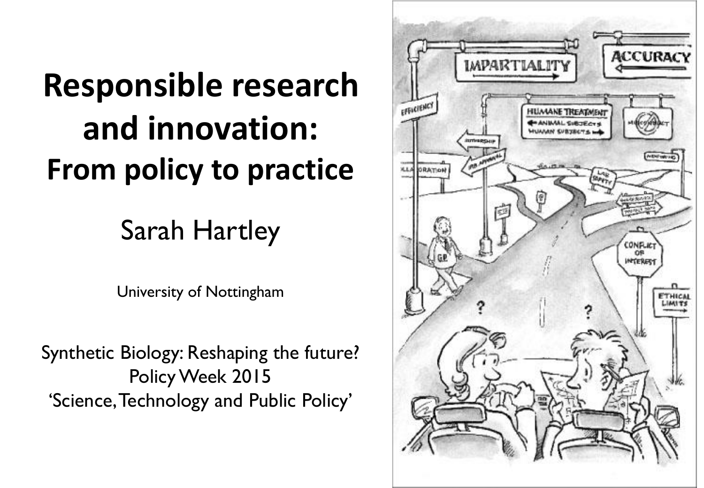### **Responsible research and innovation: From policy to practice**

### Sarah Hartley

University of Nottingham

Synthetic Biology: Reshaping the future? Policy Week 2015 'Science, Technology and Public Policy'

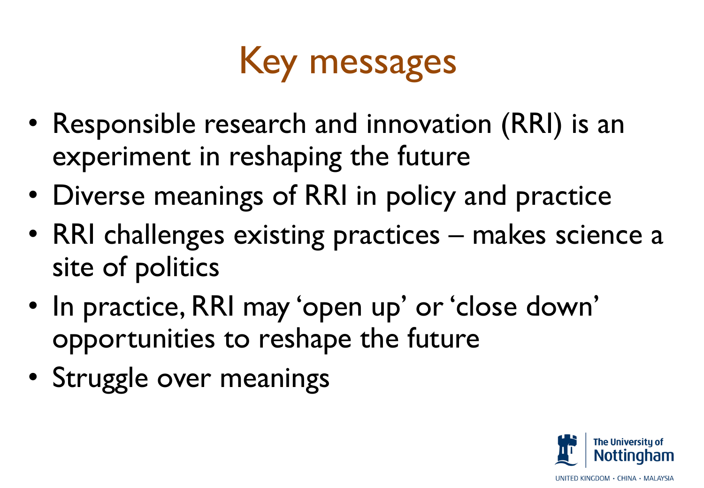

- Responsible research and innovation (RRI) is an experiment in reshaping the future
- Diverse meanings of RRI in policy and practice
- RRI challenges existing practices makes science a site of politics
- In practice, RRI may 'open up' or 'close down' opportunities to reshape the future
- Struggle over meanings

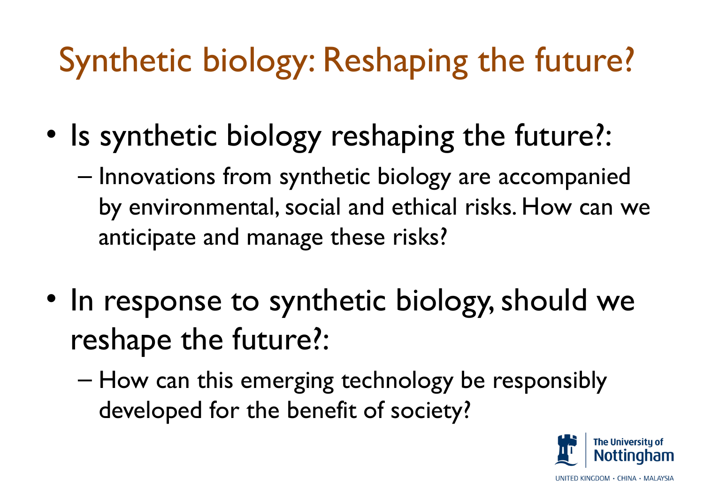### Synthetic biology: Reshaping the future?

- Is synthetic biology reshaping the future?:
	- Innovations from synthetic biology are accompanied by environmental, social and ethical risks. How can we anticipate and manage these risks?
- In response to synthetic biology, should we reshape the future?:
	- How can this emerging technology be responsibly developed for the benefit of society?

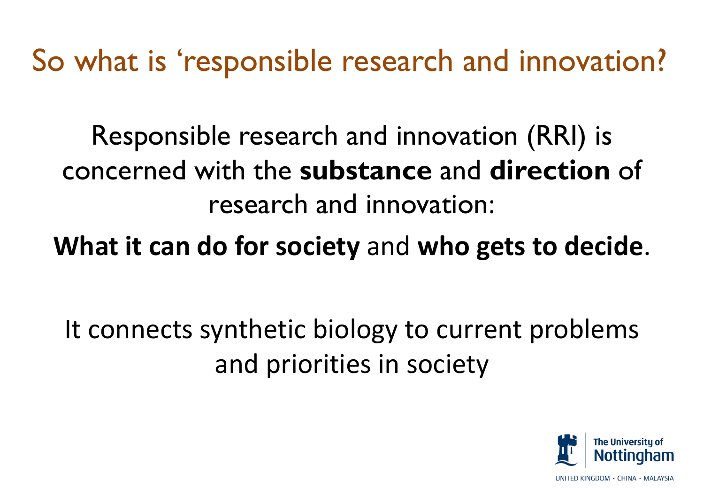So what is 'responsible research and innovation?

Responsible research and innovation (RRI) is concerned with the **substance** and **direction** of research and innovation:

**What it can do for society** and **who gets to decide**.

It connects synthetic biology to current problems and priorities in society

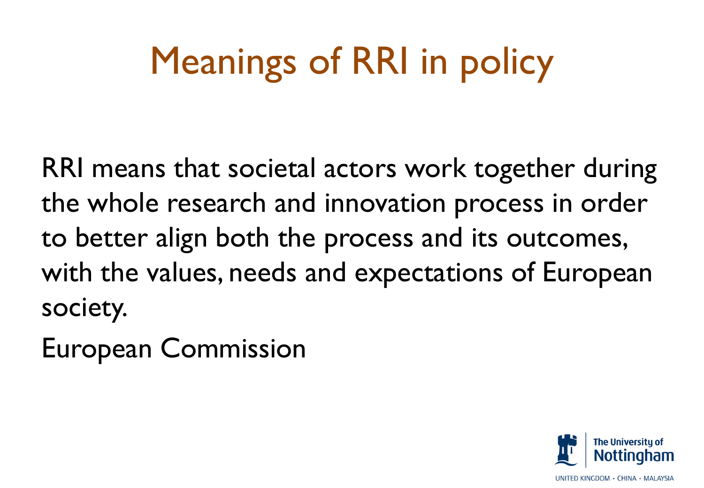# Meanings of RRI in policy

RRI means that societal actors work together during the whole research and innovation process in order to better align both the process and its outcomes, with the values, needs and expectations of European society.

European Commission

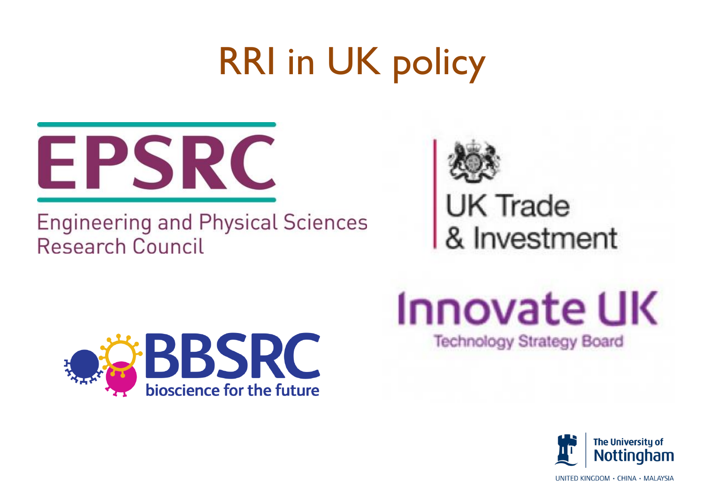# RRI in UK policy



#### **Engineering and Physical Sciences Research Council**



UK Trade<br>& Investment



### **Innovate UK Technology Strategy Board**

**The University of Nottingham** 

UNITED KINGDOM · CHINA · MALAYSIA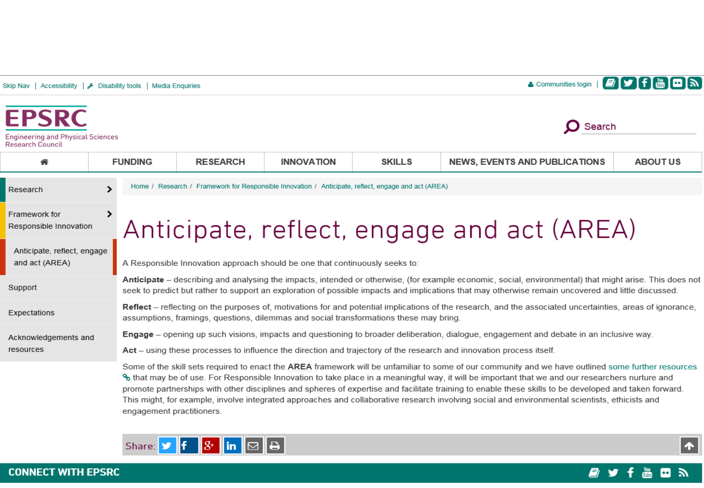| Skip Nav                                                                            |                | Accessibility   E Disability tools   Media Enquiries                                                                                                                                                                                                                                                           |                 |                   |               | <b>By film on</b><br>& Communities login |                 |  |
|-------------------------------------------------------------------------------------|----------------|----------------------------------------------------------------------------------------------------------------------------------------------------------------------------------------------------------------------------------------------------------------------------------------------------------------|-----------------|-------------------|---------------|------------------------------------------|-----------------|--|
| <b>EPSRC</b><br><b>Engineering and Physical Sciences</b><br><b>Research Council</b> |                |                                                                                                                                                                                                                                                                                                                |                 |                   |               | Search                                   |                 |  |
| 合                                                                                   | <b>FUNDING</b> |                                                                                                                                                                                                                                                                                                                | <b>RESEARCH</b> | <b>INNOVATION</b> | <b>SKILLS</b> | <b>NEWS, EVENTS AND PUBLICATIONS</b>     | <b>ABOUT US</b> |  |
| Research                                                                            |                | Home / Research / Framework for Responsible Innovation / Anticipate, reflect, engage and act (AREA)                                                                                                                                                                                                            |                 |                   |               |                                          |                 |  |
| Framework for<br>Responsible Innovation                                             |                | Anticipate, reflect, engage and act (AREA)                                                                                                                                                                                                                                                                     |                 |                   |               |                                          |                 |  |
| Anticipate, reflect, engage<br>and act (AREA)                                       |                | A Responsible Innovation approach should be one that continuously seeks to:                                                                                                                                                                                                                                    |                 |                   |               |                                          |                 |  |
| Support                                                                             |                | Anticipate – describing and analysing the impacts, intended or otherwise, (for example economic, social, environmental) that might arise. This does not<br>seek to predict but rather to support an exploration of possible impacts and implications that may otherwise remain uncovered and little discussed. |                 |                   |               |                                          |                 |  |
| Expectations                                                                        |                | <b>Reflect</b> – reflecting on the purposes of, motivations for and potential implications of the research, and the associated uncertainties, areas of ignorance,<br>assumptions, framings, questions, dilemmas and social transformations these may bring.                                                    |                 |                   |               |                                          |                 |  |
| Acknowledgements and                                                                |                | <b>Engage</b> – opening up such visions, impacts and questioning to broader deliberation, dialoque, engagement and debate in an inclusive way.                                                                                                                                                                 |                 |                   |               |                                          |                 |  |
| resources                                                                           |                | Act – using these processes to influence the direction and trajectory of the research and innovation process itself.                                                                                                                                                                                           |                 |                   |               |                                          |                 |  |
|                                                                                     |                | Some of the skill sets required to enact the AREA framework will be unfamiliar to some of our community and we have outlined some further resources<br>% that may be of use. For Responsible Innovation to take place in a meaningful way, it will be important that we and our researchers purture and        |                 |                   |               |                                          |                 |  |

s that may be of use. For Responsible Innovation to take place in a meaningful way, it will be important that we and our researchers nurture and promote partnerships with other disciplines and spheres of expertise and facilitate training to enable these skills to be developed and taken forward. This might, for example, involve integrated approaches and collaborative research involving social and environmental scientists, ethicists and engagement practitioners.





 $|\bm{\uparrow}|$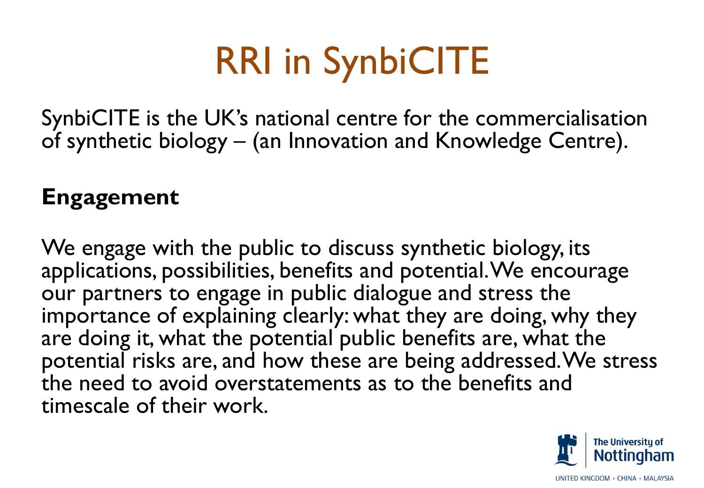# RRI in SynbiCITE

SynbiCITE is the UK's national centre for the commercialisation of synthetic biology – (an Innovation and Knowledge Centre).

#### **Engagement**

We engage with the public to discuss synthetic biology, its applications, possibilities, benefits and potential. We encourage our partners to engage in public dialogue and stress the importance of explaining clearly: what they are doing, why they are doing it, what the potential public benefits are, what the potential risks are, and how these are being addressed. We stress the need to avoid overstatements as to the benefits and timescale of their work.

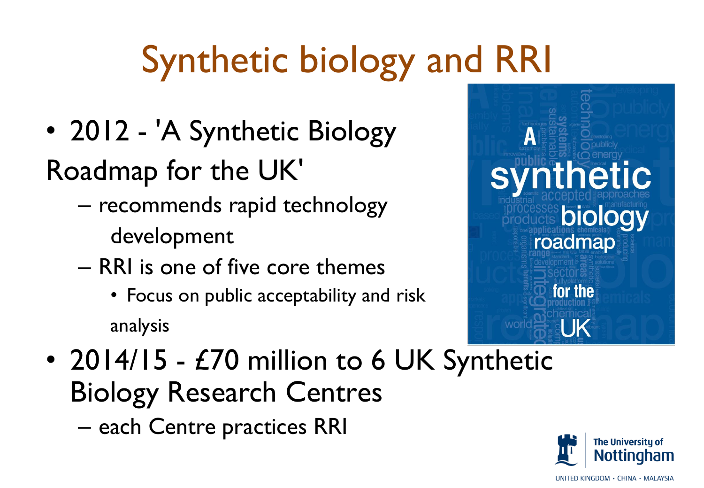# Synthetic biology and RRI

• 2012 - 'A Synthetic Biology

Roadmap for the UK'

– recommends rapid technology

development

- RRI is one of five core themes
	- Focus on public acceptability and risk analysis



• 2014/15 - £70 million to 6 UK Synthetic Biology Research Centres – each Centre practices RRI



UNITED KINGDOM · CHINA · MALAYSIA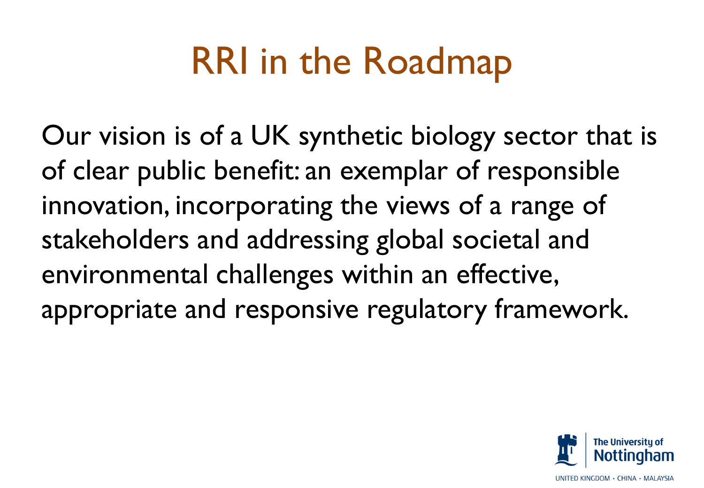## RRI in the Roadmap

Our vision is of a UK synthetic biology sector that is of clear public benefit: an exemplar of responsible innovation, incorporating the views of a range of stakeholders and addressing global societal and environmental challenges within an effective, appropriate and responsive regulatory framework.

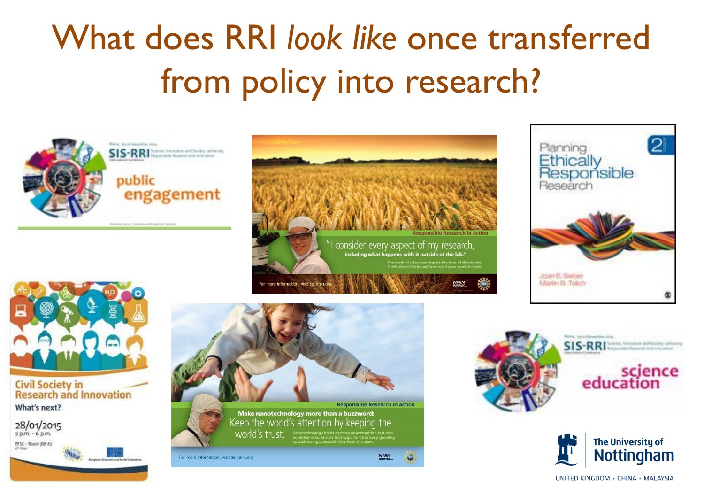### What does RRI *look like* once transferred from policy into research?









#### **Civil Society in<br>Research and Innovation** What's next?









UNITED KINGDOM · CHINA · MALAYSIA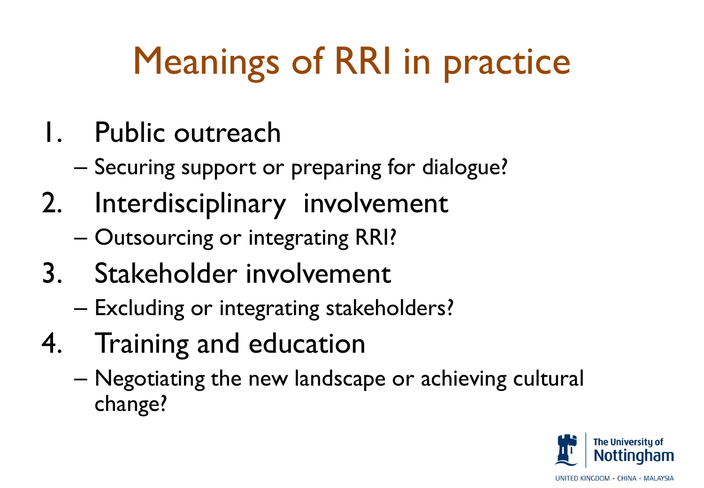# Meanings of RRI in practice

- 1. Public outreach
	- Securing support or preparing for dialogue?
- 2. Interdisciplinary involvement
	- Outsourcing or integrating RRI?
- 3. Stakeholder involvement
	- Excluding or integrating stakeholders?
- 4. Training and education
	- Negotiating the new landscape or achieving cultural change?

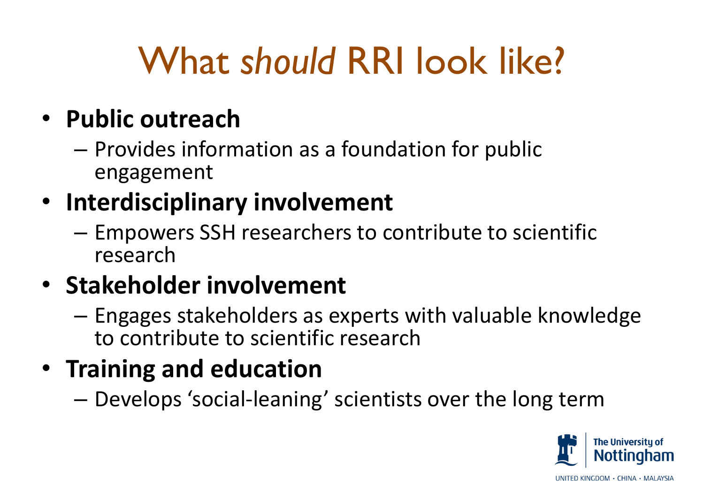# What *should* RRI look like?

#### • **Public outreach**

– Provides information as a foundation for public engagement

### • **Interdisciplinary involvement**

– Empowers SSH researchers to contribute to scientific research

#### • **Stakeholder involvement**

– Engages stakeholders as experts with valuable knowledge to contribute to scientific research

### • **Training and education**

– Develops 'social-leaning' scientists over the long term

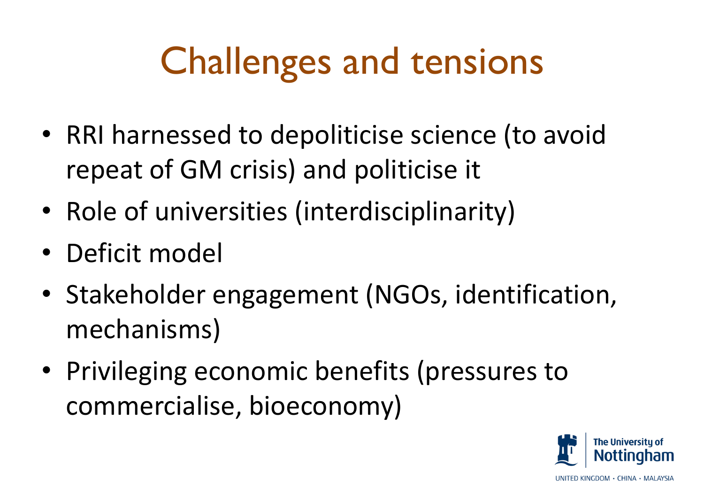# Challenges and tensions

- RRI harnessed to depoliticise science (to avoid repeat of GM crisis) and politicise it
- Role of universities (interdisciplinarity)
- Deficit model
- Stakeholder engagement (NGOs, identification, mechanisms)
- Privileging economic benefits (pressures to commercialise, bioeconomy)